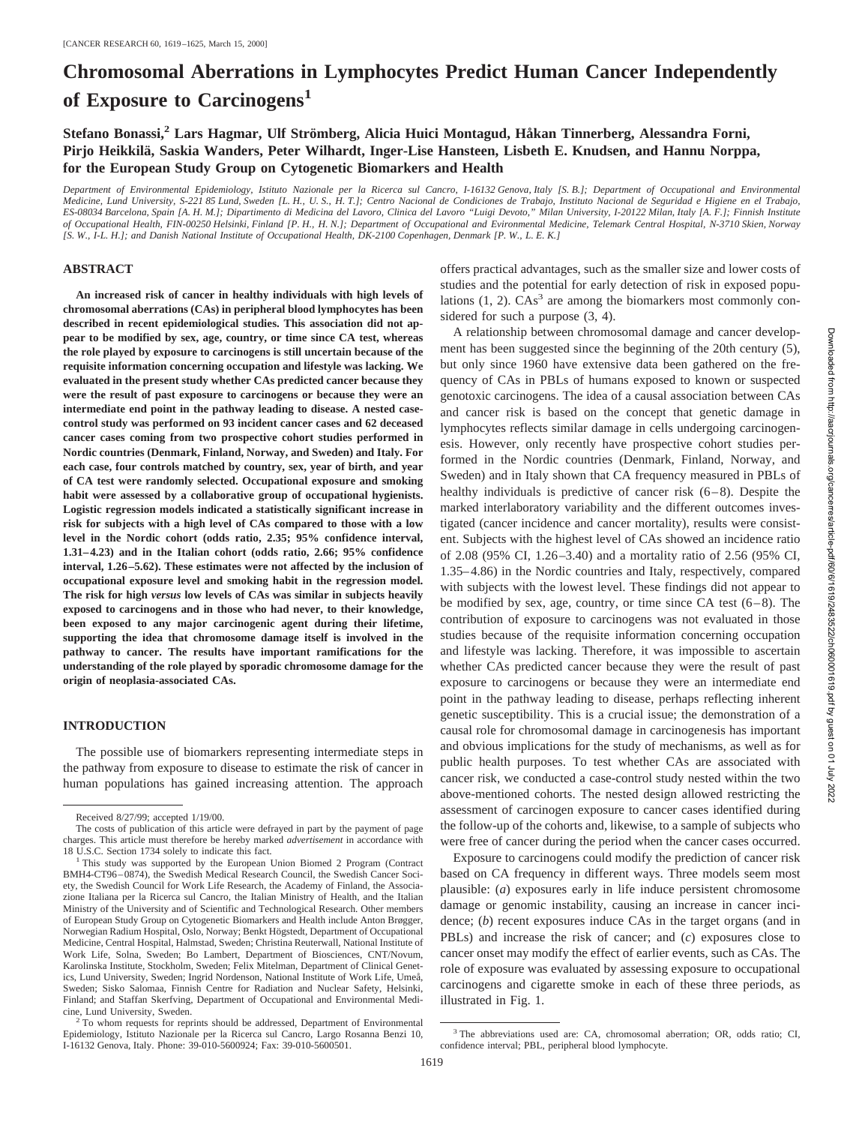# **Chromosomal Aberrations in Lymphocytes Predict Human Cancer Independently of Exposure to Carcinogens<sup>1</sup>**

**Stefano Bonassi,2 Lars Hagmar, Ulf Stro¨mberg, Alicia Huici Montagud, Håkan Tinnerberg, Alessandra Forni, Pirjo Heikkila¨, Saskia Wanders, Peter Wilhardt, Inger-Lise Hansteen, Lisbeth E. Knudsen, and Hannu Norppa, for the European Study Group on Cytogenetic Biomarkers and Health**

*Department of Environmental Epidemiology, Istituto Nazionale per la Ricerca sul Cancro, I-16132 Genova, Italy [S. B.]; Department of Occupational and Environmental Medicine, Lund University, S-221 85 Lund, Sweden [L. H., U. S., H. T.]; Centro Nacional de Condiciones de Trabajo, Instituto Nacional de Seguridad e Higiene en el Trabajo, ES-08034 Barcelona, Spain [A. H. M.]; Dipartimento di Medicina del Lavoro, Clinica del Lavoro "Luigi Devoto," Milan University, I-20122 Milan, Italy [A. F.]; Finnish Institute of Occupational Health, FIN-00250 Helsinki, Finland [P. H., H. N.]; Department of Occupational and Evironmental Medicine, Telemark Central Hospital, N-3710 Skien, Norway [S. W., I-L. H.]; and Danish National Institute of Occupational Health, DK-2100 Copenhagen, Denmark [P. W., L. E. K.]*

### **ABSTRACT**

**An increased risk of cancer in healthy individuals with high levels of chromosomal aberrations (CAs) in peripheral blood lymphocytes has been described in recent epidemiological studies. This association did not appear to be modified by sex, age, country, or time since CA test, whereas the role played by exposure to carcinogens is still uncertain because of the requisite information concerning occupation and lifestyle was lacking. We evaluated in the present study whether CAs predicted cancer because they were the result of past exposure to carcinogens or because they were an intermediate end point in the pathway leading to disease. A nested casecontrol study was performed on 93 incident cancer cases and 62 deceased cancer cases coming from two prospective cohort studies performed in Nordic countries (Denmark, Finland, Norway, and Sweden) and Italy. For each case, four controls matched by country, sex, year of birth, and year of CA test were randomly selected. Occupational exposure and smoking habit were assessed by a collaborative group of occupational hygienists. Logistic regression models indicated a statistically significant increase in risk for subjects with a high level of CAs compared to those with a low level in the Nordic cohort (odds ratio, 2.35; 95% confidence interval, 1.31–4.23) and in the Italian cohort (odds ratio, 2.66; 95% confidence interval, 1.26–5.62). These estimates were not affected by the inclusion of occupational exposure level and smoking habit in the regression model. The risk for high** *versus* **low levels of CAs was similar in subjects heavily exposed to carcinogens and in those who had never, to their knowledge, been exposed to any major carcinogenic agent during their lifetime, supporting the idea that chromosome damage itself is involved in the pathway to cancer. The results have important ramifications for the understanding of the role played by sporadic chromosome damage for the origin of neoplasia-associated CAs.**

# **INTRODUCTION**

The possible use of biomarkers representing intermediate steps in the pathway from exposure to disease to estimate the risk of cancer in human populations has gained increasing attention. The approach offers practical advantages, such as the smaller size and lower costs of studies and the potential for early detection of risk in exposed populations  $(1, 2)$ . CAs<sup>3</sup> are among the biomarkers most commonly considered for such a purpose (3, 4).

A relationship between chromosomal damage and cancer development has been suggested since the beginning of the 20th century (5), but only since 1960 have extensive data been gathered on the frequency of CAs in PBLs of humans exposed to known or suspected genotoxic carcinogens. The idea of a causal association between CAs and cancer risk is based on the concept that genetic damage in lymphocytes reflects similar damage in cells undergoing carcinogenesis. However, only recently have prospective cohort studies performed in the Nordic countries (Denmark, Finland, Norway, and Sweden) and in Italy shown that CA frequency measured in PBLs of healthy individuals is predictive of cancer risk  $(6-8)$ . Despite the marked interlaboratory variability and the different outcomes investigated (cancer incidence and cancer mortality), results were consistent. Subjects with the highest level of CAs showed an incidence ratio of 2.08 (95% CI, 1.26–3.40) and a mortality ratio of 2.56 (95% CI, 1.35–4.86) in the Nordic countries and Italy, respectively, compared with subjects with the lowest level. These findings did not appear to be modified by sex, age, country, or time since CA test (6–8). The contribution of exposure to carcinogens was not evaluated in those studies because of the requisite information concerning occupation and lifestyle was lacking. Therefore, it was impossible to ascertain whether CAs predicted cancer because they were the result of past exposure to carcinogens or because they were an intermediate end point in the pathway leading to disease, perhaps reflecting inherent genetic susceptibility. This is a crucial issue; the demonstration of a causal role for chromosomal damage in carcinogenesis has important and obvious implications for the study of mechanisms, as well as for public health purposes. To test whether CAs are associated with cancer risk, we conducted a case-control study nested within the two above-mentioned cohorts. The nested design allowed restricting the assessment of carcinogen exposure to cancer cases identified during the follow-up of the cohorts and, likewise, to a sample of subjects who were free of cancer during the period when the cancer cases occurred.

Exposure to carcinogens could modify the prediction of cancer risk based on CA frequency in different ways. Three models seem most plausible: (*a*) exposures early in life induce persistent chromosome damage or genomic instability, causing an increase in cancer incidence; (*b*) recent exposures induce CAs in the target organs (and in PBLs) and increase the risk of cancer; and (*c*) exposures close to cancer onset may modify the effect of earlier events, such as CAs. The role of exposure was evaluated by assessing exposure to occupational carcinogens and cigarette smoke in each of these three periods, as illustrated in Fig. 1.

Received 8/27/99; accepted 1/19/00.

The costs of publication of this article were defrayed in part by the payment of page charges. This article must therefore be hereby marked *advertisement* in accordance with

<sup>&</sup>lt;sup>1</sup> This study was supported by the European Union Biomed 2 Program (Contract BMH4-CT96–0874), the Swedish Medical Research Council, the Swedish Cancer Society, the Swedish Council for Work Life Research, the Academy of Finland, the Associazione Italiana per la Ricerca sul Cancro, the Italian Ministry of Health, and the Italian Ministry of the University and of Scientific and Technological Research. Other members of European Study Group on Cytogenetic Biomarkers and Health include Anton Brøgger, Norwegian Radium Hospital, Oslo, Norway; Benkt Högstedt, Department of Occupational Medicine, Central Hospital, Halmstad, Sweden; Christina Reuterwall, National Institute of Work Life, Solna, Sweden; Bo Lambert, Department of Biosciences, CNT/Novum, Karolinska Institute, Stockholm, Sweden; Felix Mitelman, Department of Clinical Genetics, Lund University, Sweden; Ingrid Nordenson, National Institute of Work Life, Umeå, Sweden; Sisko Salomaa, Finnish Centre for Radiation and Nuclear Safety, Helsinki, Finland; and Staffan Skerfving, Department of Occupational and Environmental Medicine, Lund University, Sweden.<br><sup>2</sup> To whom requests for reprints should be addressed, Department of Environmental

Epidemiology, Istituto Nazionale per la Ricerca sul Cancro, Largo Rosanna Benzi 10, I-16132 Genova, Italy. Phone: 39-010-5600924; Fax: 39-010-5600501.

<sup>3</sup> The abbreviations used are: CA, chromosomal aberration; OR, odds ratio; CI, confidence interval; PBL, peripheral blood lymphocyte.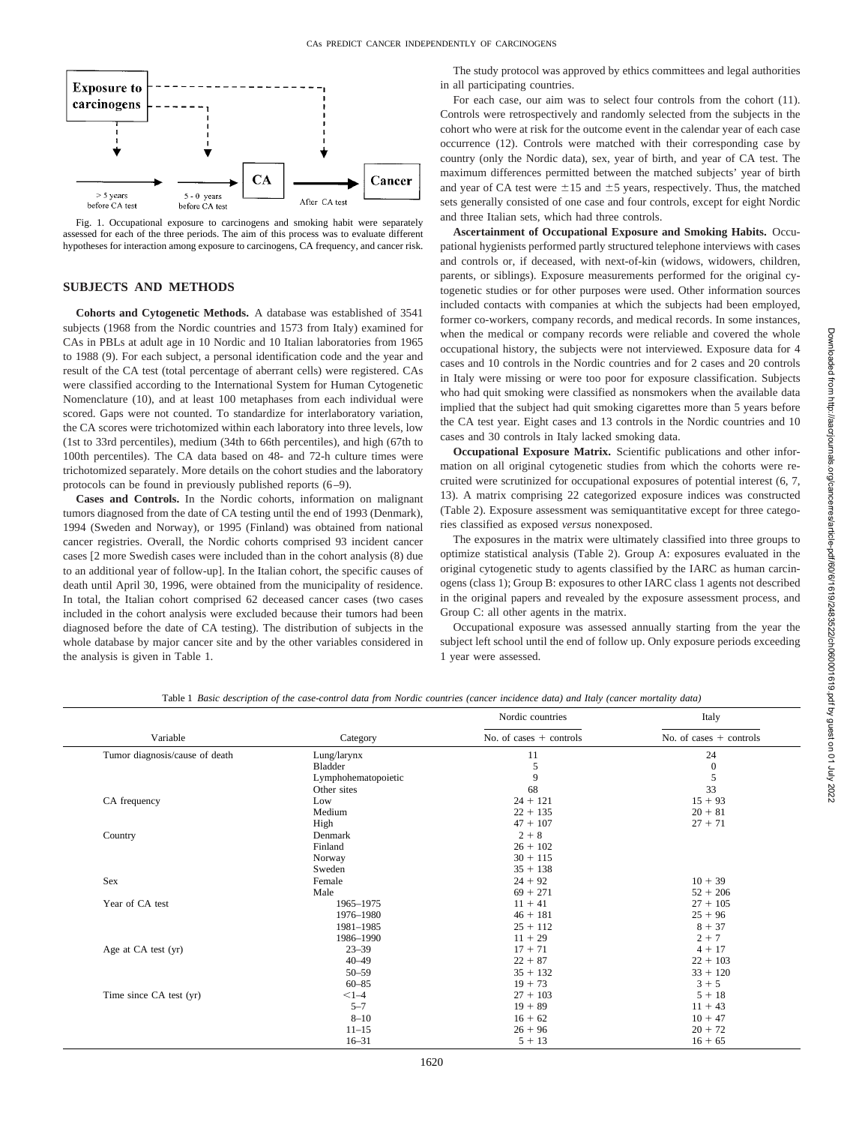

Fig. 1. Occupational exposure to carcinogens and smoking habit were separately assessed for each of the three periods. The aim of this process was to evaluate different hypotheses for interaction among exposure to carcinogens, CA frequency, and cancer risk.

# **SUBJECTS AND METHODS**

**Cohorts and Cytogenetic Methods.** A database was established of 3541 subjects (1968 from the Nordic countries and 1573 from Italy) examined for CAs in PBLs at adult age in 10 Nordic and 10 Italian laboratories from 1965 to 1988 (9). For each subject, a personal identification code and the year and result of the CA test (total percentage of aberrant cells) were registered. CAs were classified according to the International System for Human Cytogenetic Nomenclature (10), and at least 100 metaphases from each individual were scored. Gaps were not counted. To standardize for interlaboratory variation, the CA scores were trichotomized within each laboratory into three levels, low (1st to 33rd percentiles), medium (34th to 66th percentiles), and high (67th to 100th percentiles). The CA data based on 48- and 72-h culture times were trichotomized separately. More details on the cohort studies and the laboratory protocols can be found in previously published reports (6–9).

**Cases and Controls.** In the Nordic cohorts, information on malignant tumors diagnosed from the date of CA testing until the end of 1993 (Denmark), 1994 (Sweden and Norway), or 1995 (Finland) was obtained from national cancer registries. Overall, the Nordic cohorts comprised 93 incident cancer cases [2 more Swedish cases were included than in the cohort analysis (8) due to an additional year of follow-up]. In the Italian cohort, the specific causes of death until April 30, 1996, were obtained from the municipality of residence. In total, the Italian cohort comprised 62 deceased cancer cases (two cases included in the cohort analysis were excluded because their tumors had been diagnosed before the date of CA testing). The distribution of subjects in the whole database by major cancer site and by the other variables considered in the analysis is given in Table 1.

The study protocol was approved by ethics committees and legal authorities in all participating countries.

For each case, our aim was to select four controls from the cohort (11). Controls were retrospectively and randomly selected from the subjects in the cohort who were at risk for the outcome event in the calendar year of each case occurrence (12). Controls were matched with their corresponding case by country (only the Nordic data), sex, year of birth, and year of CA test. The maximum differences permitted between the matched subjects' year of birth and year of CA test were  $\pm 15$  and  $\pm 5$  years, respectively. Thus, the matched sets generally consisted of one case and four controls, except for eight Nordic and three Italian sets, which had three controls.

**Ascertainment of Occupational Exposure and Smoking Habits.** Occupational hygienists performed partly structured telephone interviews with cases and controls or, if deceased, with next-of-kin (widows, widowers, children, parents, or siblings). Exposure measurements performed for the original cytogenetic studies or for other purposes were used. Other information sources included contacts with companies at which the subjects had been employed, former co-workers, company records, and medical records. In some instances, when the medical or company records were reliable and covered the whole occupational history, the subjects were not interviewed. Exposure data for 4 cases and 10 controls in the Nordic countries and for 2 cases and 20 controls in Italy were missing or were too poor for exposure classification. Subjects who had quit smoking were classified as nonsmokers when the available data implied that the subject had quit smoking cigarettes more than 5 years before the CA test year. Eight cases and 13 controls in the Nordic countries and 10 cases and 30 controls in Italy lacked smoking data.

**Occupational Exposure Matrix.** Scientific publications and other information on all original cytogenetic studies from which the cohorts were recruited were scrutinized for occupational exposures of potential interest (6, 7, 13). A matrix comprising 22 categorized exposure indices was constructed (Table 2). Exposure assessment was semiquantitative except for three categories classified as exposed *versus* nonexposed.

The exposures in the matrix were ultimately classified into three groups to optimize statistical analysis (Table 2). Group A: exposures evaluated in the original cytogenetic study to agents classified by the IARC as human carcinogens (class 1); Group B: exposures to other IARC class 1 agents not described in the original papers and revealed by the exposure assessment process, and Group C: all other agents in the matrix.

Occupational exposure was assessed annually starting from the year the subject left school until the end of follow up. Only exposure periods exceeding 1 year were assessed.

Table 1 *Basic description of the case-control data from Nordic countries (cancer incidence data) and Italy (cancer mortality data)*

|                                |                     | Nordic countries          | Italy                     |
|--------------------------------|---------------------|---------------------------|---------------------------|
| Variable                       | Category            | No. of cases $+$ controls | No. of cases $+$ controls |
| Tumor diagnosis/cause of death | Lung/larynx         | 11                        | 24                        |
|                                | Bladder             | 5                         | $\boldsymbol{0}$          |
|                                | Lymphohematopoietic | 9                         | 5                         |
|                                | Other sites         | 68                        | 33                        |
| CA frequency                   | Low                 | $24 + 121$                | $15 + 93$                 |
|                                | Medium              | $22 + 135$                | $20 + 81$                 |
|                                | High                | $47 + 107$                | $27 + 71$                 |
| Country                        | Denmark             | $2 + 8$                   |                           |
|                                | Finland             | $26 + 102$                |                           |
|                                | Norway              | $30 + 115$                |                           |
|                                | Sweden              | $35 + 138$                |                           |
| Sex                            | Female              | $24 + 92$                 | $10 + 39$                 |
|                                | Male                | $69 + 271$                | $52 + 206$                |
| Year of CA test                | 1965-1975           | $11 + 41$                 | $27 + 105$                |
|                                | 1976-1980           | $46 + 181$                | $25 + 96$                 |
|                                | 1981-1985           | $25 + 112$                | $8 + 37$                  |
|                                | 1986-1990           | $11 + 29$                 | $2 + 7$                   |
| Age at CA test (yr)            | $23 - 39$           | $17 + 71$                 | $4 + 17$                  |
|                                | $40 - 49$           | $22 + 87$                 | $22 + 103$                |
|                                | $50 - 59$           | $35 + 132$                | $33 + 120$                |
|                                | $60 - 85$           | $19 + 73$                 | $3 + 5$                   |
| Time since CA test (yr)        | $<1 - 4$            | $27 + 103$                | $5 + 18$                  |
|                                | $5 - 7$             | $19 + 89$                 | $11 + 43$                 |
|                                | $8 - 10$            | $16 + 62$                 | $10 + 47$                 |
|                                | $11 - 15$           | $26 + 96$                 | $20 + 72$                 |
|                                | $16 - 31$           | $5 + 13$                  | $16 + 65$                 |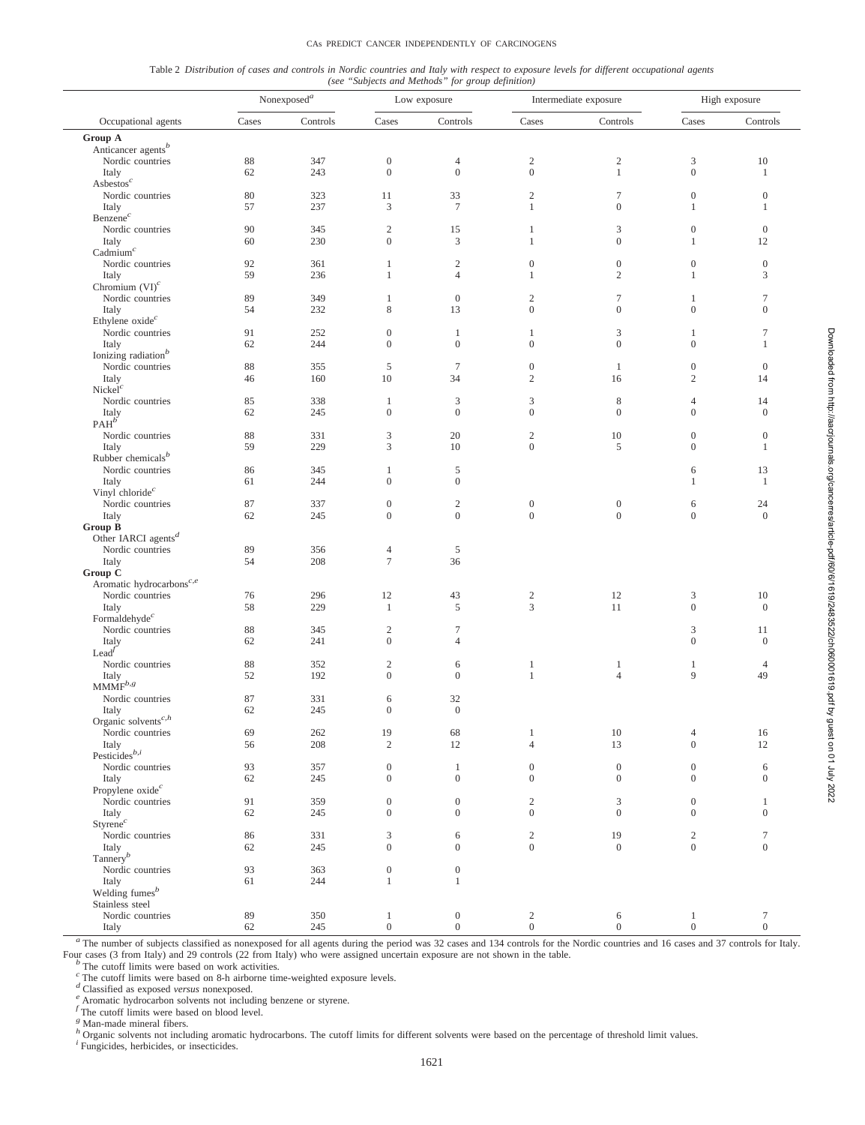#### CAs PREDICT CANCER INDEPENDENTLY OF CARCINOGENS

| Table 2 Distribution of cases and controls in Nordic countries and Italy with respect to exposure levels for different occupational agents |  |  |                                                   |  |  |  |  |  |
|--------------------------------------------------------------------------------------------------------------------------------------------|--|--|---------------------------------------------------|--|--|--|--|--|
|                                                                                                                                            |  |  | (see "Subjects and Methods" for group definition) |  |  |  |  |  |

|                                                     |          | Nonexposed <sup>a</sup> | Low exposure                     |                                  |                                    | Intermediate exposure                | High exposure                    |                    |  |
|-----------------------------------------------------|----------|-------------------------|----------------------------------|----------------------------------|------------------------------------|--------------------------------------|----------------------------------|--------------------|--|
| Occupational agents                                 | Cases    | Controls                | Cases                            | Controls                         | Cases                              | Controls                             | Cases                            | Controls           |  |
| Group A                                             |          |                         |                                  |                                  |                                    |                                      |                                  |                    |  |
| Anticancer agents <sup>b</sup>                      |          |                         |                                  |                                  |                                    |                                      |                                  |                    |  |
| Nordic countries<br>Italy                           | 88<br>62 | 347<br>243              | $\boldsymbol{0}$<br>$\mathbf{0}$ | $\overline{4}$<br>$\mathbf{0}$   | $\overline{c}$<br>$\boldsymbol{0}$ | $\sqrt{2}$<br>$\mathbf{1}$           | 3<br>$\mathbf{0}$                | 10<br>1            |  |
| $\mathbf{As}$ bestos <sup>c</sup>                   |          |                         |                                  |                                  |                                    |                                      |                                  |                    |  |
| Nordic countries                                    | 80       | 323                     | 11                               | 33                               | $\sqrt{2}$                         | $\boldsymbol{7}$                     | $\mathbf{0}$                     | $\mathbf{0}$       |  |
| Italy                                               | 57       | 237                     | 3                                | $7\phantom{.0}$                  | $\mathbf{1}$                       | $\boldsymbol{0}$                     | 1                                | 1                  |  |
| Benzene <sup>c</sup><br>Nordic countries            | 90       | 345                     |                                  |                                  | $\mathbf{1}$                       | 3                                    | $\mathbf{0}$                     | $\mathbf{0}$       |  |
| Italy                                               | 60       | 230                     | $\mathbf{2}$<br>$\boldsymbol{0}$ | 15<br>3                          | $\mathbf{1}$                       | $\boldsymbol{0}$                     | 1                                | 12                 |  |
| Cadmium <sup>c</sup>                                |          |                         |                                  |                                  |                                    |                                      |                                  |                    |  |
| Nordic countries                                    | 92       | 361                     | $\mathbf{1}$                     | $\mathbf{2}$                     | $\mathbf{0}$                       | $\boldsymbol{0}$                     | $\mathbf{0}$                     | $\boldsymbol{0}$   |  |
| Italy                                               | 59       | 236                     | $\mathbf{1}$                     | $\overline{4}$                   | 1                                  | $\sqrt{2}$                           | 1                                | $\mathfrak z$      |  |
| Chromium $(VI)^c$<br>Nordic countries               | 89       | 349                     | $\mathbf{1}$                     | $\mathbf{0}$                     | $\overline{c}$                     | $\boldsymbol{7}$                     | 1                                | $\tau$             |  |
| Italy                                               | 54       | 232                     | 8                                | 13                               | $\mathbf{0}$                       | $\boldsymbol{0}$                     | $\overline{0}$                   | $\boldsymbol{0}$   |  |
| Ethylene $o$ xide $c$                               |          |                         |                                  |                                  |                                    |                                      |                                  |                    |  |
| Nordic countries                                    | 91       | 252                     | $\mathbf{0}$                     | $\mathbf{1}$                     | $\mathbf{1}$                       | 3                                    | 1                                | $\tau$             |  |
| Italy                                               | 62       | 244                     | $\mathbf{0}$                     | $\boldsymbol{0}$                 | $\mathbf{0}$                       | $\boldsymbol{0}$                     | $\boldsymbol{0}$                 | $\mathbf{1}$       |  |
| Ionizing radiation <sup>b</sup><br>Nordic countries | 88       | 355                     | 5                                | $\tau$                           | $\boldsymbol{0}$                   | $\mathbf{1}$                         | $\mathbf{0}$                     | $\mathbf{0}$       |  |
| Italy                                               | 46       | 160                     | 10                               | 34                               | $\mathfrak{2}$                     | 16                                   | $\mathfrak{2}$                   | 14                 |  |
| Nickel <sup>c</sup>                                 |          |                         |                                  |                                  |                                    |                                      |                                  |                    |  |
| Nordic countries                                    | 85       | 338                     | $\mathbf{1}$                     | $\mathfrak z$                    | $\mathfrak z$                      | $\,$ 8 $\,$                          | $\overline{4}$                   | 14                 |  |
| Italy<br>PAH <sup>b</sup>                           | 62       | 245                     | $\mathbf{0}$                     | $\mathbf{0}$                     | $\mathbf{0}$                       | $\boldsymbol{0}$                     | $\mathbf{0}$                     | $\boldsymbol{0}$   |  |
| Nordic countries                                    | 88       | 331                     | 3                                | 20                               | $\sqrt{2}$                         | 10                                   | $\mathbf{0}$                     | $\boldsymbol{0}$   |  |
| Italy                                               | 59       | 229                     | 3                                | 10                               | $\boldsymbol{0}$                   | 5                                    | $\mathbf{0}$                     | $\mathbf{1}$       |  |
| Rubber chemicals <sup>b</sup>                       |          |                         |                                  |                                  |                                    |                                      |                                  |                    |  |
| Nordic countries                                    | 86       | 345                     | 1<br>$\mathbf{0}$                | 5<br>$\boldsymbol{0}$            |                                    |                                      | 6                                | 13                 |  |
| Italy<br>Vinyl chloride $c$                         | 61       | 244                     |                                  |                                  |                                    |                                      | 1                                | $\mathbf{1}$       |  |
| Nordic countries                                    | 87       | 337                     | $\mathbf{0}$                     | $\sqrt{2}$                       | $\boldsymbol{0}$                   | $\boldsymbol{0}$                     | 6                                | 24                 |  |
| Italy                                               | 62       | 245                     | $\mathbf{0}$                     | $\boldsymbol{0}$                 | $\boldsymbol{0}$                   | $\boldsymbol{0}$                     | $\boldsymbol{0}$                 | $\mathbf{0}$       |  |
| Group B<br>Other IARCI agents <sup>d</sup>          |          |                         |                                  |                                  |                                    |                                      |                                  |                    |  |
| Nordic countries                                    | 89       | 356                     | 4                                | 5                                |                                    |                                      |                                  |                    |  |
| Italy                                               | 54       | 208                     | $\tau$                           | 36                               |                                    |                                      |                                  |                    |  |
| Group C                                             |          |                         |                                  |                                  |                                    |                                      |                                  |                    |  |
| Aromatic hydrocarbons <sup>c,e</sup>                |          |                         |                                  |                                  |                                    |                                      |                                  |                    |  |
| Nordic countries<br>Italy                           | 76<br>58 | 296<br>229              | 12<br>$\mathbf{1}$               | 43<br>5                          | $\overline{c}$<br>3                | 12<br>11                             | 3<br>$\boldsymbol{0}$            | 10<br>$\mathbf{0}$ |  |
| Formaldehyde $c$                                    |          |                         |                                  |                                  |                                    |                                      |                                  |                    |  |
| Nordic countries                                    | 88       | 345                     | $\sqrt{2}$                       | $\tau$                           |                                    |                                      | 3                                | 11                 |  |
| Italy                                               | 62       | 241                     | $\boldsymbol{0}$                 | $\overline{4}$                   |                                    |                                      | $\mathbf{0}$                     | $\mathbf{0}$       |  |
| Leaf'<br>Nordic countries                           | 88       | 352                     | $\sqrt{2}$                       | 6                                | 1                                  | $\mathbf{1}$                         | 1                                | $\overline{4}$     |  |
| Italy                                               | 52       | 192                     | $\boldsymbol{0}$                 | $\overline{0}$                   | $\mathbf{1}$                       | $\overline{4}$                       | 9                                | 49                 |  |
| $\text{MMM}\check{\mathbf{F}}^{b,g}$                |          |                         |                                  |                                  |                                    |                                      |                                  |                    |  |
| Nordic countries                                    | 87       | 331                     | 6                                | 32                               |                                    |                                      |                                  |                    |  |
| Italy<br>Organic solvents <sup>c,h</sup>            | 62       | 245                     | $\boldsymbol{0}$                 | $\mathbf{0}$                     |                                    |                                      |                                  |                    |  |
| Nordic countries                                    | 69       | $262\,$                 | 19                               | 68                               | $\mathbf{1}$                       | $10\,$                               | 4                                | $16\,$             |  |
| Italy                                               | 56       | $208\,$                 | $\sqrt{2}$                       | 12                               | $\overline{4}$                     | 13                                   | $\mathbf{0}$                     | $12\,$             |  |
| Pesticides $^{b,i}$                                 |          |                         |                                  |                                  |                                    |                                      |                                  |                    |  |
| Nordic countries<br>Italy                           | 93<br>62 | 357<br>245              | $\boldsymbol{0}$<br>$\mathbf{0}$ | $\mathbf{1}$<br>$\boldsymbol{0}$ | $\mathbf{0}$<br>$\mathbf{0}$       | $\boldsymbol{0}$<br>$\boldsymbol{0}$ | $\boldsymbol{0}$<br>$\mathbf{0}$ | 6<br>$\mathbf{0}$  |  |
| Propylene oxide <sup>c</sup>                        |          |                         |                                  |                                  |                                    |                                      |                                  |                    |  |
| Nordic countries                                    | 91       | 359                     | $\boldsymbol{0}$                 | $\boldsymbol{0}$                 | $\sqrt{2}$                         | $\mathfrak{Z}$                       | $\boldsymbol{0}$                 | $\mathbf{1}$       |  |
| Italy                                               | 62       | 245                     | $\overline{0}$                   | $\overline{0}$                   | $\mathbf{0}$                       | $\theta$                             | $\mathbf{0}$                     | $\mathbf{0}$       |  |
| Styrene $^c$<br>Nordic countries                    | 86       | 331                     | 3                                | 6                                | $\sqrt{2}$                         | 19                                   | $\overline{c}$                   | $\boldsymbol{7}$   |  |
| Italy                                               | 62       | 245                     | $\overline{0}$                   | $\overline{0}$                   | $\boldsymbol{0}$                   | $\boldsymbol{0}$                     | $\mathbf{0}$                     | $\overline{0}$     |  |
| Tannery $\int$                                      |          |                         |                                  |                                  |                                    |                                      |                                  |                    |  |
| Nordic countries                                    | 93       | 363                     | $\boldsymbol{0}$                 | $\boldsymbol{0}$                 |                                    |                                      |                                  |                    |  |
| Italy<br>Welding fumes <sup>b</sup>                 | 61       | 244                     | $\mathbf{1}$                     | $\mathbf{1}$                     |                                    |                                      |                                  |                    |  |
| Stainless steel                                     |          |                         |                                  |                                  |                                    |                                      |                                  |                    |  |
| Nordic countries                                    | 89       | 350                     | $\mathbf{1}$                     | $\mathbf{0}$                     | $\overline{c}$                     | 6                                    | $\mathbf{1}$                     | $\tau$             |  |
| Italy                                               | 62       | 245                     | $\boldsymbol{0}$                 | $\overline{0}$                   | $\overline{0}$                     | $\boldsymbol{0}$                     | $\overline{0}$                   | $\boldsymbol{0}$   |  |

*<sup>a</sup>* The number of subjects classified as nonexposed for all agents during the period was 32 cases and 134 controls for the Nordic countries and 16 cases and 37 controls for Italy. Four cases (3 from Italy) and 29 controls (22 from Italy) who were assigned uncertain exposure are not shown in the table.<br>  $\frac{b}{c}$  The cutoff limits were based on work activities.<br>  $\frac{c}{c}$  The cutoff limits were base

*<sup>d</sup>* Classified as exposed *versus* nonexposed. *<sup>e</sup>* Aromatic hydrocarbon solvents not including benzene or styrene. *f* The cutoff limits were based on blood level.

*<sup>g</sup>* Man-made mineral fibers.

*h* Organic solvents not including aromatic hydrocarbons. The cutoff limits for different solvents were based on the percentage of threshold limit values. *i*<sup>t</sup> Europicides, bething the procedicides

Fungicides, herbicides, or insecticides.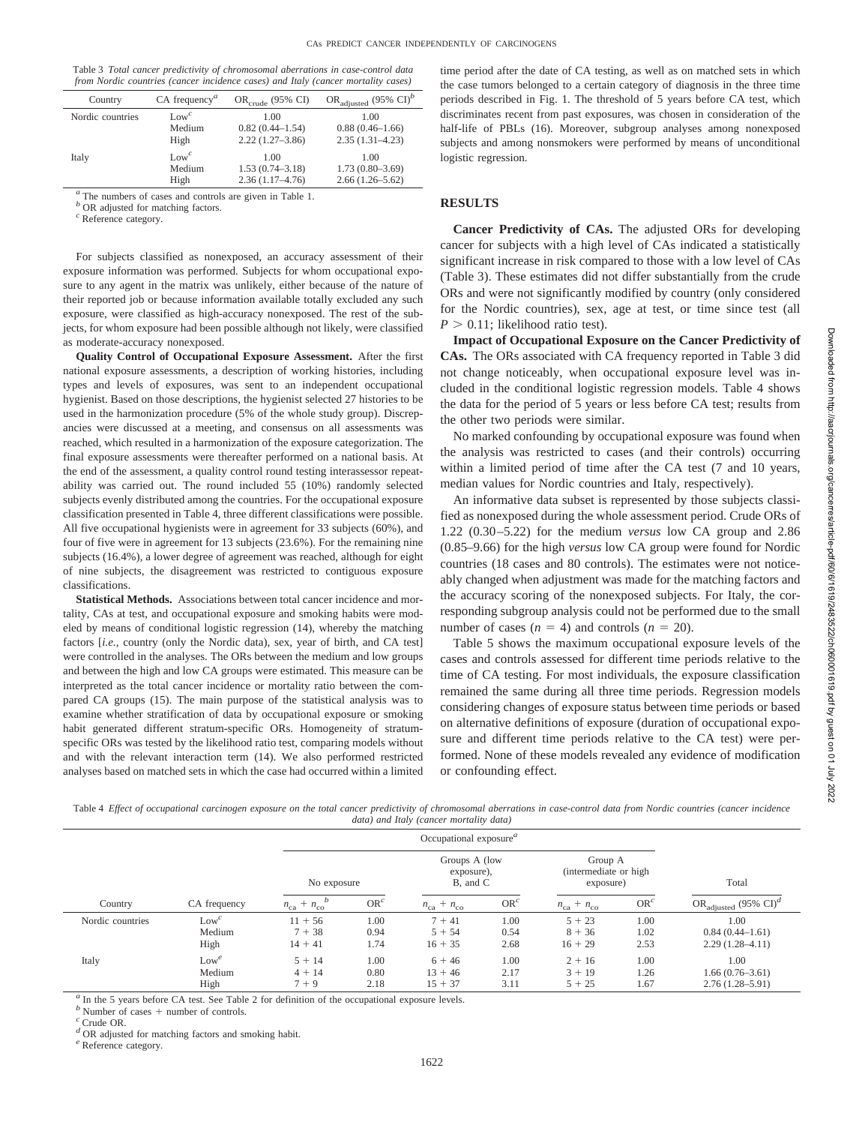Table 3 *Total cancer predictivity of chromosomal aberrations in case-control data from Nordic countries (cancer incidence cases) and Italy (cancer mortality cases)*

| Country          | $CA$ frequency <sup><math>a</math></sup> | $OR_{\text{crude}}$ (95% CI) | OR <sub>adjusted</sub> (95% CI) <sup>b</sup> |
|------------------|------------------------------------------|------------------------------|----------------------------------------------|
| Nordic countries | $Low^c$                                  | 1.00                         | 1.00                                         |
|                  | Medium                                   | $0.82(0.44 - 1.54)$          | $0.88(0.46 - 1.66)$                          |
|                  | High                                     | $2.22(1.27-3.86)$            | $2.35(1.31 - 4.23)$                          |
| Italy            | $Low^c$                                  | 1.00                         | 1.00                                         |
|                  | Medium                                   | $1.53(0.74 - 3.18)$          | $1.73(0.80 - 3.69)$                          |
|                  | High                                     | $2.36(1.17-4.76)$            | $2.66(1.26 - 5.62)$                          |
|                  |                                          |                              |                                              |

*<sup>a</sup>* The numbers of cases and controls are given in Table 1.

*b* OR adjusted for matching factors.

*<sup>c</sup>* Reference category.

For subjects classified as nonexposed, an accuracy assessment of their exposure information was performed. Subjects for whom occupational exposure to any agent in the matrix was unlikely, either because of the nature of their reported job or because information available totally excluded any such exposure, were classified as high-accuracy nonexposed. The rest of the subjects, for whom exposure had been possible although not likely, were classified as moderate-accuracy nonexposed.

**Quality Control of Occupational Exposure Assessment.** After the first national exposure assessments, a description of working histories, including types and levels of exposures, was sent to an independent occupational hygienist. Based on those descriptions, the hygienist selected 27 histories to be used in the harmonization procedure (5% of the whole study group). Discrepancies were discussed at a meeting, and consensus on all assessments was reached, which resulted in a harmonization of the exposure categorization. The final exposure assessments were thereafter performed on a national basis. At the end of the assessment, a quality control round testing interassessor repeatability was carried out. The round included 55 (10%) randomly selected subjects evenly distributed among the countries. For the occupational exposure classification presented in Table 4, three different classifications were possible. All five occupational hygienists were in agreement for 33 subjects (60%), and four of five were in agreement for 13 subjects (23.6%). For the remaining nine subjects (16.4%), a lower degree of agreement was reached, although for eight of nine subjects, the disagreement was restricted to contiguous exposure classifications.

**Statistical Methods.** Associations between total cancer incidence and mortality, CAs at test, and occupational exposure and smoking habits were modeled by means of conditional logistic regression (14), whereby the matching factors [*i.e.,* country (only the Nordic data), sex, year of birth, and CA test] were controlled in the analyses. The ORs between the medium and low groups and between the high and low CA groups were estimated. This measure can be interpreted as the total cancer incidence or mortality ratio between the compared CA groups (15). The main purpose of the statistical analysis was to examine whether stratification of data by occupational exposure or smoking habit generated different stratum-specific ORs. Homogeneity of stratumspecific ORs was tested by the likelihood ratio test, comparing models without and with the relevant interaction term (14). We also performed restricted analyses based on matched sets in which the case had occurred within a limited time period after the date of CA testing, as well as on matched sets in which the case tumors belonged to a certain category of diagnosis in the three time periods described in Fig. 1. The threshold of 5 years before CA test, which discriminates recent from past exposures, was chosen in consideration of the half-life of PBLs (16). Moreover, subgroup analyses among nonexposed subjects and among nonsmokers were performed by means of unconditional logistic regression.

#### **RESULTS**

**Cancer Predictivity of CAs.** The adjusted ORs for developing cancer for subjects with a high level of CAs indicated a statistically significant increase in risk compared to those with a low level of CAs (Table 3). These estimates did not differ substantially from the crude ORs and were not significantly modified by country (only considered for the Nordic countries), sex, age at test, or time since test (all  $P > 0.11$ ; likelihood ratio test).

**Impact of Occupational Exposure on the Cancer Predictivity of CAs.** The ORs associated with CA frequency reported in Table 3 did not change noticeably, when occupational exposure level was included in the conditional logistic regression models. Table 4 shows the data for the period of 5 years or less before CA test; results from the other two periods were similar.

No marked confounding by occupational exposure was found when the analysis was restricted to cases (and their controls) occurring within a limited period of time after the CA test (7 and 10 years, median values for Nordic countries and Italy, respectively).

An informative data subset is represented by those subjects classified as nonexposed during the whole assessment period. Crude ORs of 1.22 (0.30–5.22) for the medium *versus* low CA group and 2.86 (0.85–9.66) for the high *versus* low CA group were found for Nordic countries (18 cases and 80 controls). The estimates were not noticeably changed when adjustment was made for the matching factors and the accuracy scoring of the nonexposed subjects. For Italy, the corresponding subgroup analysis could not be performed due to the small number of cases  $(n = 4)$  and controls  $(n = 20)$ .

Table 5 shows the maximum occupational exposure levels of the cases and controls assessed for different time periods relative to the time of CA testing. For most individuals, the exposure classification remained the same during all three time periods. Regression models considering changes of exposure status between time periods or based on alternative definitions of exposure (duration of occupational exposure and different time periods relative to the CA test) were performed. None of these models revealed any evidence of modification or confounding effect.

Table 4 *Effect of occupational carcinogen exposure on the total cancer predictivity of chromosomal aberrations in case-control data from Nordic countries (cancer incidence data) and Italy (cancer mortality data)*

|                  |                           |                                    | Occupational exposure $a$ |                                    |                                         |                                                |                      |                                                  |  |
|------------------|---------------------------|------------------------------------|---------------------------|------------------------------------|-----------------------------------------|------------------------------------------------|----------------------|--------------------------------------------------|--|
|                  |                           |                                    | No exposure               |                                    | Groups A (low<br>exposure),<br>B, and C | Group A<br>(intermediate or high)<br>exposure) |                      | Total                                            |  |
| Country          | CA frequency              | $n_{\rm ca} + n_{\rm co}$          | $OR^c$                    | $n_{\text{ca}} + n_{\text{co}}$    | $OR^c$                                  | $n_{\text{ca}} + n_{\text{co}}$                | $OR^c$               | OR <sub>adjusted</sub> (95% CI) <sup>d</sup>     |  |
| Nordic countries | $Low^c$<br>Medium<br>High | $11 + 56$<br>$7 + 38$<br>$14 + 41$ | 1.00<br>0.94<br>1.74      | $7 + 41$<br>$5 + 54$<br>$16 + 35$  | 1.00<br>0.54<br>2.68                    | $5 + 23$<br>$8 + 36$<br>$16 + 29$              | 1.00<br>1.02<br>2.53 | 1.00<br>$0.84(0.44-1.61)$<br>$2.29(1.28 - 4.11)$ |  |
| Italy            | $Low^e$<br>Medium<br>High | $5 + 14$<br>$4 + 14$<br>$7 + 9$    | 1.00<br>0.80<br>2.18      | $6 + 46$<br>$13 + 46$<br>$15 + 37$ | 1.00<br>2.17<br>3.11                    | $2 + 16$<br>$3 + 19$<br>$5 + 25$               | 1.00<br>1.26<br>1.67 | 1.00<br>$1.66(0.76-3.61)$<br>$2.76(1.28 - 5.91)$ |  |

<sup>a</sup> In the 5 years before CA test. See Table 2 for definition of the occupational exposure levels.

*b* Number of cases  $+$  number of controls.  $\frac{c}{c}$  Crude OR.

*<sup>d</sup>* OR adjusted for matching factors and smoking habit. *<sup>e</sup>* Reference category.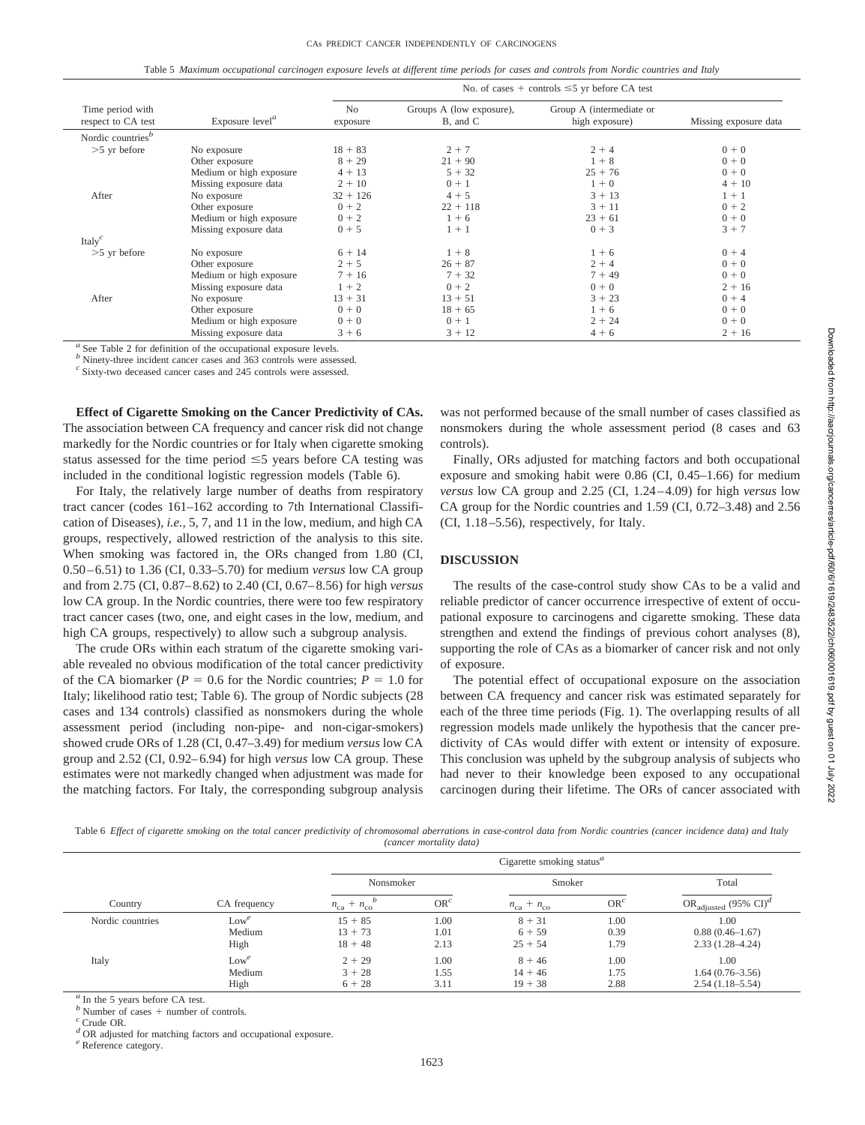Table 5 *Maximum occupational carcinogen exposure levels at different time periods for cases and controls from Nordic countries and Italy*

|                                            |                         | No. of cases + controls $\leq$ 5 yr before CA test |                                      |                                            |                       |  |  |  |  |  |
|--------------------------------------------|-------------------------|----------------------------------------------------|--------------------------------------|--------------------------------------------|-----------------------|--|--|--|--|--|
| Time period with<br>respect to CA test     | Exposure $levela$       | N <sub>0</sub><br>exposure                         | Groups A (low exposure),<br>B, and C | Group A (intermediate or<br>high exposure) | Missing exposure data |  |  |  |  |  |
| Nordic countries <sup><math>b</math></sup> |                         |                                                    |                                      |                                            |                       |  |  |  |  |  |
| $>5$ yr before                             | No exposure             | $18 + 83$                                          | $2 + 7$                              | $2 + 4$                                    | $0 + 0$               |  |  |  |  |  |
|                                            | Other exposure          | $8 + 29$                                           | $21 + 90$                            | $1 + 8$                                    | $0 + 0$               |  |  |  |  |  |
|                                            | Medium or high exposure | $4 + 13$                                           | $5 + 32$                             | $25 + 76$                                  | $0 + 0$               |  |  |  |  |  |
|                                            | Missing exposure data   | $2 + 10$                                           | $0 + 1$                              | $1 + 0$                                    | $4 + 10$              |  |  |  |  |  |
| After                                      | No exposure             | $32 + 126$                                         | $4 + 5$                              | $3 + 13$                                   | $1 + 1$               |  |  |  |  |  |
|                                            | Other exposure          | $0 + 2$                                            | $22 + 118$                           | $3 + 11$                                   | $0 + 2$               |  |  |  |  |  |
|                                            | Medium or high exposure | $0 + 2$                                            | $1 + 6$                              | $23 + 61$                                  | $0 + 0$               |  |  |  |  |  |
|                                            | Missing exposure data   | $0 + 5$                                            | $1 + 1$                              | $0 + 3$                                    | $3 + 7$               |  |  |  |  |  |
| Italy $^c$                                 |                         |                                                    |                                      |                                            |                       |  |  |  |  |  |
| $>5$ yr before                             | No exposure             | $6 + 14$                                           | $1 + 8$                              | $1 + 6$                                    | $0 + 4$               |  |  |  |  |  |
|                                            | Other exposure          | $2 + 5$                                            | $26 + 87$                            | $2 + 4$                                    | $0 + 0$               |  |  |  |  |  |
|                                            | Medium or high exposure | $7 + 16$                                           | $7 + 32$                             | $7 + 49$                                   | $0 + 0$               |  |  |  |  |  |
|                                            | Missing exposure data   | $1 + 2$                                            | $0 + 2$                              | $0 + 0$                                    | $2 + 16$              |  |  |  |  |  |
| After                                      | No exposure             | $13 + 31$                                          | $13 + 51$                            | $3 + 23$                                   | $0 + 4$               |  |  |  |  |  |
|                                            | Other exposure          | $0 + 0$                                            | $18 + 65$                            | $1 + 6$                                    | $0 + 0$               |  |  |  |  |  |
|                                            | Medium or high exposure | $0 + 0$                                            | $0 + 1$                              | $2 + 24$                                   | $0 + 0$               |  |  |  |  |  |
|                                            | Missing exposure data   | $3 + 6$                                            | $3 + 12$                             | $4 + 6$                                    | $2 + 16$              |  |  |  |  |  |

*<sup>a</sup>* See Table 2 for definition of the occupational exposure levels.

*b* Ninety-three incident cancer cases and 363 controls were assessed.

*<sup>c</sup>* Sixty-two deceased cancer cases and 245 controls were assessed.

**Effect of Cigarette Smoking on the Cancer Predictivity of CAs.** The association between CA frequency and cancer risk did not change markedly for the Nordic countries or for Italy when cigarette smoking status assessed for the time period  $\leq$  years before CA testing was included in the conditional logistic regression models (Table 6).

For Italy, the relatively large number of deaths from respiratory tract cancer (codes 161–162 according to 7th International Classification of Diseases), *i.e.,* 5, 7, and 11 in the low, medium, and high CA groups, respectively, allowed restriction of the analysis to this site. When smoking was factored in, the ORs changed from 1.80 (CI, 0.50–6.51) to 1.36 (CI, 0.33–5.70) for medium *versus* low CA group and from 2.75 (CI, 0.87–8.62) to 2.40 (CI, 0.67–8.56) for high *versus* low CA group. In the Nordic countries, there were too few respiratory tract cancer cases (two, one, and eight cases in the low, medium, and high CA groups, respectively) to allow such a subgroup analysis.

The crude ORs within each stratum of the cigarette smoking variable revealed no obvious modification of the total cancer predictivity of the CA biomarker ( $P = 0.6$  for the Nordic countries;  $P = 1.0$  for Italy; likelihood ratio test; Table 6). The group of Nordic subjects (28 cases and 134 controls) classified as nonsmokers during the whole assessment period (including non-pipe- and non-cigar-smokers) showed crude ORs of 1.28 (CI, 0.47–3.49) for medium *versus* low CA group and 2.52 (CI, 0.92–6.94) for high *versus* low CA group. These estimates were not markedly changed when adjustment was made for the matching factors. For Italy, the corresponding subgroup analysis

was not performed because of the small number of cases classified as nonsmokers during the whole assessment period (8 cases and 63 controls).

Finally, ORs adjusted for matching factors and both occupational exposure and smoking habit were 0.86 (CI, 0.45–1.66) for medium *versus* low CA group and 2.25 (CI, 1.24–4.09) for high *versus* low CA group for the Nordic countries and 1.59 (CI, 0.72–3.48) and 2.56 (CI, 1.18–5.56), respectively, for Italy.

## **DISCUSSION**

The results of the case-control study show CAs to be a valid and reliable predictor of cancer occurrence irrespective of extent of occupational exposure to carcinogens and cigarette smoking. These data strengthen and extend the findings of previous cohort analyses (8), supporting the role of CAs as a biomarker of cancer risk and not only of exposure.

The potential effect of occupational exposure on the association between CA frequency and cancer risk was estimated separately for each of the three time periods (Fig. 1). The overlapping results of all regression models made unlikely the hypothesis that the cancer predictivity of CAs would differ with extent or intensity of exposure. This conclusion was upheld by the subgroup analysis of subjects who had never to their knowledge been exposed to any occupational carcinogen during their lifetime. The ORs of cancer associated with

Table 6 *Effect of cigarette smoking on the total cancer predictivity of chromosomal aberrations in case-control data from Nordic countries (cancer incidence data) and Italy (cancer mortality data)*

|                  |              | Cigarette smoking status <sup><math>a</math></sup> |        |                                 |        |                                              |  |  |  |  |
|------------------|--------------|----------------------------------------------------|--------|---------------------------------|--------|----------------------------------------------|--|--|--|--|
|                  |              | Nonsmoker                                          |        | Smoker                          |        | Total                                        |  |  |  |  |
| Country          | CA frequency | $n_{\text{ca}} + n_{\text{co}}$                    | $OR^c$ | $n_{\text{ca}} + n_{\text{co}}$ | $OR^c$ | OR <sub>adjusted</sub> (95% CI) <sup>d</sup> |  |  |  |  |
| Nordic countries | $Low^e$      | $15 + 85$                                          | 1.00   | $8 + 31$                        | 1.00   | 1.00                                         |  |  |  |  |
|                  | Medium       | $13 + 73$                                          | 1.01   | $6 + 59$                        | 0.39   | $0.88(0.46 - 1.67)$                          |  |  |  |  |
|                  | High         | $18 + 48$                                          | 2.13   | $25 + 54$                       | 1.79   | $2.33(1.28 - 4.24)$                          |  |  |  |  |
| Italy            | $Low^e$      | $2 + 29$                                           | 1.00   | $8 + 46$                        | 1.00   | 1.00                                         |  |  |  |  |
|                  | Medium       | $3 + 28$                                           | 1.55   | $14 + 46$                       | 1.75   | $1.64(0.76-3.56)$                            |  |  |  |  |
|                  | High         | $6 + 28$                                           | 3.11   | $19 + 38$                       | 2.88   | $2.54(1.18-5.54)$                            |  |  |  |  |

In the 5 years before CA test.

*b* Number of cases  $+$  number of controls.  $\frac{c}{c}$  Crude OR.

*<sup>d</sup>* OR adjusted for matching factors and occupational exposure. *<sup>e</sup>* Reference category.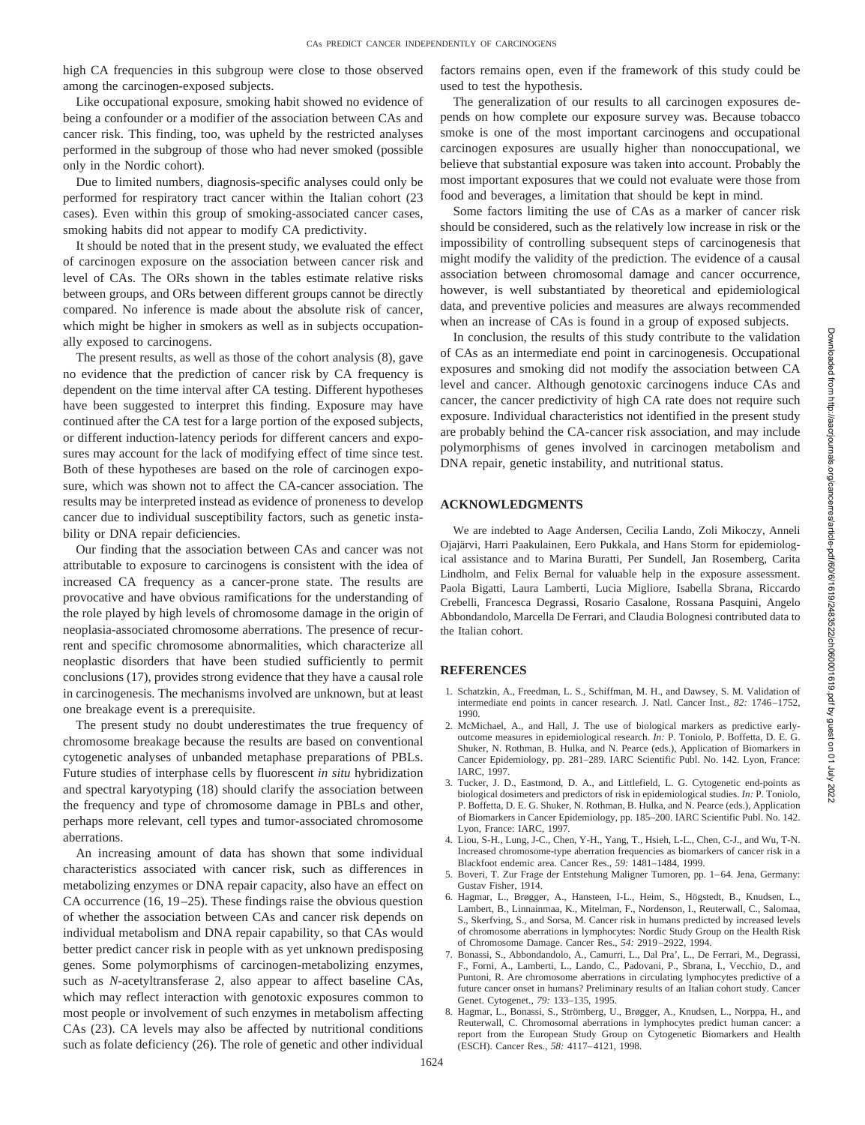high CA frequencies in this subgroup were close to those observed among the carcinogen-exposed subjects.

Like occupational exposure, smoking habit showed no evidence of being a confounder or a modifier of the association between CAs and cancer risk. This finding, too, was upheld by the restricted analyses performed in the subgroup of those who had never smoked (possible only in the Nordic cohort).

Due to limited numbers, diagnosis-specific analyses could only be performed for respiratory tract cancer within the Italian cohort (23 cases). Even within this group of smoking-associated cancer cases, smoking habits did not appear to modify CA predictivity.

It should be noted that in the present study, we evaluated the effect of carcinogen exposure on the association between cancer risk and level of CAs. The ORs shown in the tables estimate relative risks between groups, and ORs between different groups cannot be directly compared. No inference is made about the absolute risk of cancer, which might be higher in smokers as well as in subjects occupationally exposed to carcinogens.

The present results, as well as those of the cohort analysis (8), gave no evidence that the prediction of cancer risk by CA frequency is dependent on the time interval after CA testing. Different hypotheses have been suggested to interpret this finding. Exposure may have continued after the CA test for a large portion of the exposed subjects, or different induction-latency periods for different cancers and exposures may account for the lack of modifying effect of time since test. Both of these hypotheses are based on the role of carcinogen exposure, which was shown not to affect the CA-cancer association. The results may be interpreted instead as evidence of proneness to develop cancer due to individual susceptibility factors, such as genetic instability or DNA repair deficiencies.

Our finding that the association between CAs and cancer was not attributable to exposure to carcinogens is consistent with the idea of increased CA frequency as a cancer-prone state. The results are provocative and have obvious ramifications for the understanding of the role played by high levels of chromosome damage in the origin of neoplasia-associated chromosome aberrations. The presence of recurrent and specific chromosome abnormalities, which characterize all neoplastic disorders that have been studied sufficiently to permit conclusions (17), provides strong evidence that they have a causal role in carcinogenesis. The mechanisms involved are unknown, but at least one breakage event is a prerequisite.

The present study no doubt underestimates the true frequency of chromosome breakage because the results are based on conventional cytogenetic analyses of unbanded metaphase preparations of PBLs. Future studies of interphase cells by fluorescent *in situ* hybridization and spectral karyotyping (18) should clarify the association between the frequency and type of chromosome damage in PBLs and other, perhaps more relevant, cell types and tumor-associated chromosome aberrations.

An increasing amount of data has shown that some individual characteristics associated with cancer risk, such as differences in metabolizing enzymes or DNA repair capacity, also have an effect on CA occurrence (16, 19–25). These findings raise the obvious question of whether the association between CAs and cancer risk depends on individual metabolism and DNA repair capability, so that CAs would better predict cancer risk in people with as yet unknown predisposing genes. Some polymorphisms of carcinogen-metabolizing enzymes, such as *N-*acetyltransferase 2, also appear to affect baseline CAs, which may reflect interaction with genotoxic exposures common to most people or involvement of such enzymes in metabolism affecting CAs (23). CA levels may also be affected by nutritional conditions such as folate deficiency (26). The role of genetic and other individual factors remains open, even if the framework of this study could be used to test the hypothesis.

The generalization of our results to all carcinogen exposures depends on how complete our exposure survey was. Because tobacco smoke is one of the most important carcinogens and occupational carcinogen exposures are usually higher than nonoccupational, we believe that substantial exposure was taken into account. Probably the most important exposures that we could not evaluate were those from food and beverages, a limitation that should be kept in mind.

Some factors limiting the use of CAs as a marker of cancer risk should be considered, such as the relatively low increase in risk or the impossibility of controlling subsequent steps of carcinogenesis that might modify the validity of the prediction. The evidence of a causal association between chromosomal damage and cancer occurrence, however, is well substantiated by theoretical and epidemiological data, and preventive policies and measures are always recommended when an increase of CAs is found in a group of exposed subjects.

In conclusion, the results of this study contribute to the validation of CAs as an intermediate end point in carcinogenesis. Occupational exposures and smoking did not modify the association between CA level and cancer. Although genotoxic carcinogens induce CAs and cancer, the cancer predictivity of high CA rate does not require such exposure. Individual characteristics not identified in the present study are probably behind the CA-cancer risk association, and may include polymorphisms of genes involved in carcinogen metabolism and DNA repair, genetic instability, and nutritional status.

#### **ACKNOWLEDGMENTS**

We are indebted to Aage Andersen, Cecilia Lando, Zoli Mikoczy, Anneli Ojajärvi, Harri Paakulainen, Eero Pukkala, and Hans Storm for epidemiological assistance and to Marina Buratti, Per Sundell, Jan Rosemberg, Carita Lindholm, and Felix Bernal for valuable help in the exposure assessment. Paola Bigatti, Laura Lamberti, Lucia Migliore, Isabella Sbrana, Riccardo Crebelli, Francesca Degrassi, Rosario Casalone, Rossana Pasquini, Angelo Abbondandolo, Marcella De Ferrari, and Claudia Bolognesi contributed data to the Italian cohort.

#### **REFERENCES**

- 1. Schatzkin, A., Freedman, L. S., Schiffman, M. H., and Dawsey, S. M. Validation of intermediate end points in cancer research. J. Natl. Cancer Inst., *82:* 1746–1752, 1990.
- 2. McMichael, A., and Hall, J. The use of biological markers as predictive earlyoutcome measures in epidemiological research. *In:* P. Toniolo, P. Boffetta, D. E. G. Shuker, N. Rothman, B. Hulka, and N. Pearce (eds.), Application of Biomarkers in Cancer Epidemiology, pp. 281–289. IARC Scientific Publ. No. 142. Lyon, France: IARC, 1997.
- 3. Tucker, J. D., Eastmond, D. A., and Littlefield, L. G. Cytogenetic end-points as biological dosimeters and predictors of risk in epidemiological studies. *In:* P. Toniolo, P. Boffetta, D. E. G. Shuker, N. Rothman, B. Hulka, and N. Pearce (eds.), Application of Biomarkers in Cancer Epidemiology, pp. 185–200. IARC Scientific Publ. No. 142. Lyon, France: IARC, 1997.
- 4. Liou, S-H., Lung, J-C., Chen, Y-H., Yang, T., Hsieh, L-L., Chen, C-J., and Wu, T-N. Increased chromosome-type aberration frequencies as biomarkers of cancer risk in a Blackfoot endemic area. Cancer Res., *59:* 1481–1484, 1999.
- 5. Boveri, T. Zur Frage der Entstehung Maligner Tumoren, pp. 1–64. Jena, Germany: Gustav Fisher, 1914.
- 6. Hagmar, L., Brøgger, A., Hansteen, I-L., Heim, S., Högstedt, B., Knudsen, L., Lambert, B., Linnainmaa, K., Mitelman, F., Nordenson, I., Reuterwall, C., Salomaa, S., Skerfving, S., and Sorsa, M. Cancer risk in humans predicted by increased levels of chromosome aberrations in lymphocytes: Nordic Study Group on the Health Risk of Chromosome Damage. Cancer Res., *54:* 2919–2922, 1994.
- 7. Bonassi, S., Abbondandolo, A., Camurri, L., Dal Pra', L., De Ferrari, M., Degrassi, F., Forni, A., Lamberti, L., Lando, C., Padovani, P., Sbrana, I., Vecchio, D., and Puntoni, R. Are chromosome aberrations in circulating lymphocytes predictive of a future cancer onset in humans? Preliminary results of an Italian cohort study. Cancer Genet. Cytogenet., *79:* 133–135, 1995.
- 8. Hagmar, L., Bonassi, S., Strömberg, U., Brøgger, A., Knudsen, L., Norppa, H., and Reuterwall, C. Chromosomal aberrations in lymphocytes predict human cancer: a report from the European Study Group on Cytogenetic Biomarkers and Health (ESCH). Cancer Res., *58:* 4117–4121, 1998.